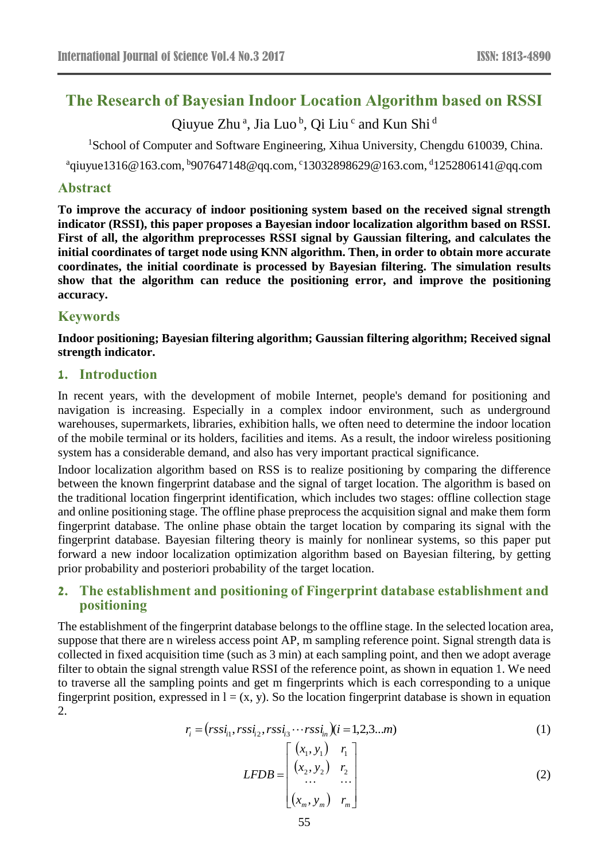# **The Research of Bayesian Indoor Location Algorithm based on RSSI**

Qiuyue Zhu<sup>a</sup>, Jia Luo<sup>b</sup>, Qi Liu<sup>c</sup> and Kun Shi<sup>d</sup>

<sup>1</sup>School of Computer and Software Engineering, Xihua University, Chengdu 610039, China.

<sup>a</sup>qiuyue1316@163.com, <sup>b</sup>907647148@qq.com, <sup>c</sup>13032898629@163.com, <sup>d</sup>1252806141@qq.com

#### **Abstract**

**To improve the accuracy of indoor positioning system based on the received signal strength indicator (RSSI), this paper proposes a Bayesian indoor localization algorithm based on RSSI. First of all, the algorithm preprocesses RSSI signal by Gaussian filtering, and calculates the initial coordinates of target node using KNN algorithm. Then, in order to obtain more accurate coordinates, the initial coordinate is processed by Bayesian filtering. The simulation results show that the algorithm can reduce the positioning error, and improve the positioning accuracy.**

#### **Keywords**

**Indoor positioning; Bayesian filtering algorithm; Gaussian filtering algorithm; Received signal strength indicator.**

#### **1. Introduction**

In recent years, with the development of mobile Internet, people's demand for positioning and navigation is increasing. Especially in a complex indoor environment, such as underground warehouses, supermarkets, libraries, exhibition halls, we often need to determine the indoor location of the mobile terminal or its holders, facilities and items. As a result, the indoor wireless positioning system has a considerable demand, and also has very important practical significance.

Indoor localization algorithm based on RSS is to realize positioning by comparing the difference between the known fingerprint database and the signal of target location. The algorithm is based on the traditional location fingerprint identification, which includes two stages: offline collection stage and online positioning stage. The offline phase preprocess the acquisition signal and make them form fingerprint database. The online phase obtain the target location by comparing its signal with the fingerprint database. Bayesian filtering theory is mainly for nonlinear systems, so this paper put forward a new indoor localization optimization algorithm based on Bayesian filtering, by getting prior probability and posteriori probability of the target location.

### **2. The establishment and positioning of Fingerprint database establishment and positioning**

The establishment of the fingerprint database belongs to the offline stage. In the selected location area, suppose that there are n wireless access point AP, m sampling reference point. Signal strength data is collected in fixed acquisition time (such as 3 min) at each sampling point, and then we adopt average filter to obtain the signal strength value RSSI of the reference point, as shown in equation 1. We need to traverse all the sampling points and get m fingerprints which is each corresponding to a unique fingerprint position, expressed in  $l = (x, y)$ . So the location fingerprint database is shown in equation 2.

$$
r_i = (rss i_1, rs s i_2, rs s i_3 \cdots rs s i_n)(i = 1, 2, 3...m)
$$
\n(1)

$$
LFDB = \begin{bmatrix} (x_1, y_1) & r_1 \\ (x_2, y_2) & r_2 \\ \dots & \dots \\ (x_m, y_m) & r_m \end{bmatrix}
$$
 (2)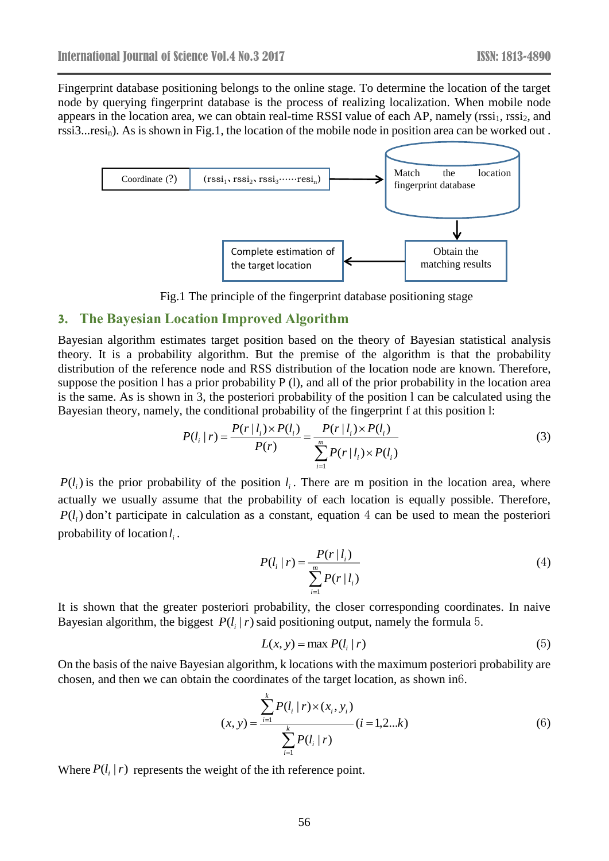Fingerprint database positioning belongs to the online stage. To determine the location of the target node by querying fingerprint database is the process of realizing localization. When mobile node appears in the location area, we can obtain real-time RSSI value of each AP, namely ( $\text{rssi}_1, \text{rssi}_2,$  and rssi3...resin). As is shown in [Fig.1,](#page-1-0) the location of the mobile node in position area can be worked out .

<span id="page-1-0"></span>

Fig.1 The principle of the fingerprint database positioning stage

#### **3. The Bayesian Location Improved Algorithm**

Bayesian algorithm estimates target position based on the theory of Bayesian statistical analysis theory. It is a probability algorithm. But the premise of the algorithm is that the probability distribution of the reference node and RSS distribution of the location node are known. Therefore, suppose the position l has a prior probability P (l), and all of the prior probability in the location area is the same. As is shown in 3, the posteriori probability of the position l can be calculated using the Bayesian theory, namely, the conditional probability of the fingerprint f at this position l:

$$
P(l_i | r) = \frac{P(r | l_i) \times P(l_i)}{P(r)} = \frac{P(r | l_i) \times P(l_i)}{\sum_{i=1}^{m} P(r | l_i) \times P(l_i)}
$$
(3)

 $P(l_i)$  is the prior probability of the position  $l_i$ . There are m position in the location area, where actually we usually assume that the probability of each location is equally possible. Therefore,  $P(l_i)$  don't participate in calculation as a constant, equation 4 can be used to mean the posteriori probability of location  $l_i$ .

$$
P(l_i | r) = \frac{P(r | l_i)}{\sum_{i=1}^{m} P(r | l_i)}
$$
(4)

It is shown that the greater posteriori probability, the closer corresponding coordinates. In naive Bayesian algorithm, the biggest  $P(l_i | r)$  said positioning output, namely the formula 5.

$$
L(x, y) = \max P(l_i | r) \tag{5}
$$

On the basis of the naive Bayesian algorithm, k locations with the maximum posteriori probability are chosen, and then we can obtain the coordinates of the target location, as shown in6.

$$
(x, y) = \frac{\sum_{i=1}^{k} P(l_i | r) \times (x_i, y_i)}{\sum_{i=1}^{k} P(l_i | r)}
$$
\n
$$
(i = 1, 2...k)
$$
\n(6)

Where  $P(l_i | r)$  represents the weight of the ith reference point.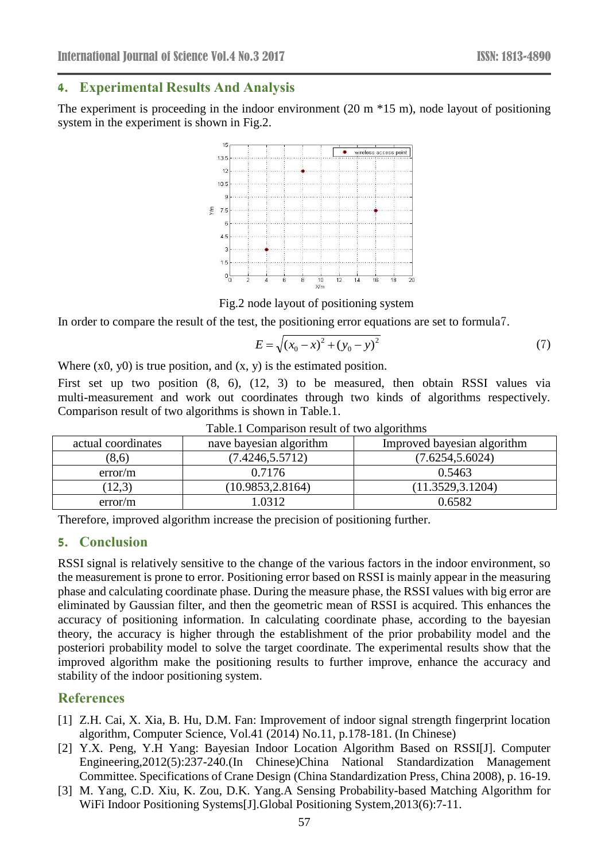### **4. Experimental Results And Analysis**

<span id="page-2-0"></span>The experiment is proceeding in the indoor environment  $(20 \text{ m} * 15 \text{ m})$ , node layout of positioning system in the experiment is shown in [Fig.2.](#page-2-0)



Fig.2 node layout of positioning system

In order to compare the result of the test, the positioning error equations are set to formula7.

$$
E = \sqrt{(x_0 - x)^2 + (y_0 - y)^2}
$$
 (7)

Where  $(x0, y0)$  is true position, and  $(x, y)$  is the estimated position.

First set up two position (8, 6), (12, 3) to be measured, then obtain RSSI values via multi-measurement and work out coordinates through two kinds of algorithms respectively. Comparison result of two algorithms is shown in [Table.1.](#page-2-1)

<span id="page-2-1"></span>

| actual coordinates | nave bayesian algorithm | Improved bayesian algorithm |
|--------------------|-------------------------|-----------------------------|
| (8,6)              | (7.4246, 5.5712)        | (7.6254, 5.6024)            |
| error/m            | 0.7176                  | 0.5463                      |
| (12,3)             | (10.9853, 2.8164)       | (11.3529, 3.1204)           |
| error/m            | .0312                   | 0.6582                      |

Table.1 Comparison result of two algorithms

Therefore, improved algorithm increase the precision of positioning further.

### **5. Conclusion**

RSSI signal is relatively sensitive to the change of the various factors in the indoor environment, so the measurement is prone to error. Positioning error based on RSSI is mainly appear in the measuring phase and calculating coordinate phase. During the measure phase, the RSSI values with big error are eliminated by Gaussian filter, and then the geometric mean of RSSI is acquired. This enhances the accuracy of positioning information. In calculating coordinate phase, according to the bayesian theory, the accuracy is higher through the establishment of the prior probability model and the posteriori probability model to solve the target coordinate. The experimental results show that the improved algorithm make the positioning results to further improve, enhance the accuracy and stability of the indoor positioning system.

## **References**

- [1] Z.H. Cai, X. Xia, B. Hu, D.M. Fan: Improvement of indoor signal strength fingerprint location algorithm, Computer Science, Vol.41 (2014) No.11, p.178-181. (In Chinese)
- [2] Y.X. Peng, Y.H Yang: Bayesian Indoor Location Algorithm Based on RSSI[J]. Computer Engineering,2012(5):237-240.(In Chinese)China National Standardization Management Committee. Specifications of Crane Design (China Standardization Press, China 2008), p. 16-19.
- [3] M. Yang, C.D. Xiu, K. Zou, D.K. Yang.A Sensing Probability-based Matching Algorithm for WiFi Indoor Positioning Systems[J][.Global](file:///E:/è½¯ä»¶ä¸è½½/Youdao/Dict/6.3.69.8341/resultui/frame/javascript:void(0);) [Positioning](file:///E:/è½¯ä»¶ä¸è½½/Youdao/Dict/6.3.69.8341/resultui/frame/javascript:void(0);) [System,](file:///E:/è½¯ä»¶ä¸è½½/Youdao/Dict/6.3.69.8341/resultui/frame/javascript:void(0);)2013(6):7-11.